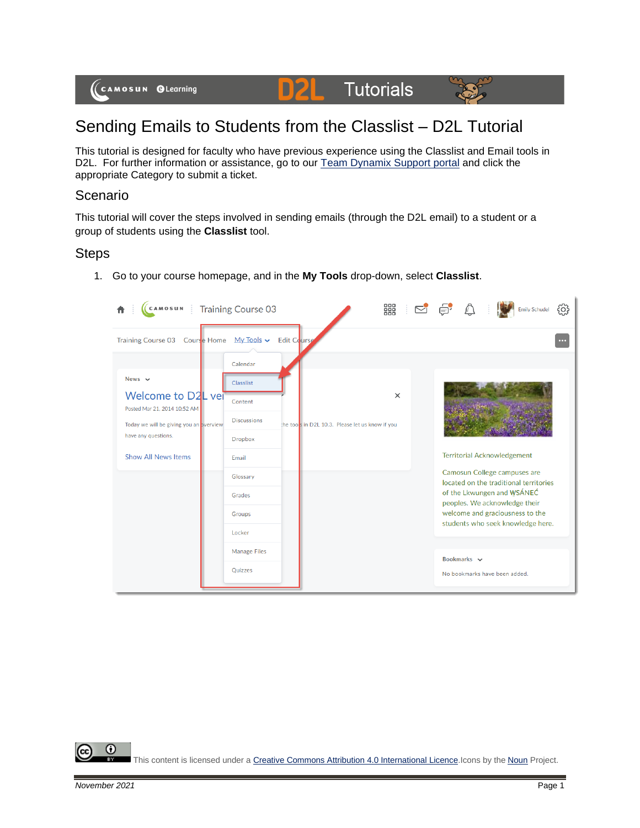

## Sending Emails to Students from the Classlist – D2L Tutorial

This tutorial is designed for faculty who have previous experience using the Classlist and Email tools in D2L. For further information or assistance, go to our [Team Dynamix Support portal](https://camosun.teamdynamix.com/TDClient/67/Portal/Requests/ServiceCatalog?CategoryID=523) and click the appropriate Category to submit a ticket.

## Scenario

This tutorial will cover the steps involved in sending emails (through the D2L email) to a student or a group of students using the **Classlist** tool.

## **Steps**



1. Go to your course homepage, and in the **My Tools** drop-down, select **Classlist**.

0 This content is licensed under [a Creative Commons Attribution 4.0 International Licence.I](https://creativecommons.org/licenses/by/4.0/)cons by the [Noun](https://creativecommons.org/website-icons/) Project.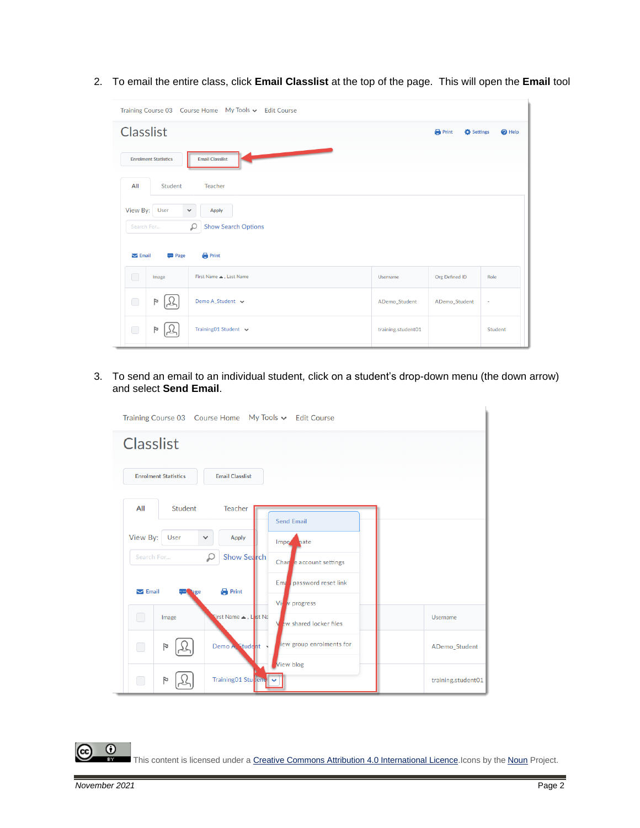2. To email the entire class, click **Email Classlist** at the top of the page. This will open the **Email** tool

| Training Course 03  Course Home  My Tools v  Edit Course                                                                                  |                        |                    |                |                                   |  |  |
|-------------------------------------------------------------------------------------------------------------------------------------------|------------------------|--------------------|----------------|-----------------------------------|--|--|
| <b>Classlist</b>                                                                                                                          |                        |                    |                | <b>C</b> Settings<br>$\odot$ Help |  |  |
| <b>Email Classlist</b><br><b>Enrolment Statistics</b>                                                                                     |                        |                    |                |                                   |  |  |
| All<br>Student                                                                                                                            | Teacher                |                    |                |                                   |  |  |
| View By:<br>User<br>Apply<br>$\checkmark$<br><b>Show Search Options</b><br>Q<br>Search For<br><b>Print</b><br>$\blacktriangleright$ Email |                        |                    |                |                                   |  |  |
| <b>Page</b><br>∩<br>Image                                                                                                                 | First Name . Last Name | Username           | Org Defined ID | Role                              |  |  |
| $\bigcirc$<br>Þ                                                                                                                           | Demo A_Student v       | ADemo_Student      | ADemo_Student  |                                   |  |  |
| $\bigcirc$                                                                                                                                | Training01 Student v   | training.student01 |                | Student                           |  |  |

3. To send an email to an individual student, click on a student's drop-down menu (the down arrow) and select **Send Email**.



This content is licensed under [a Creative Commons Attribution 4.0 International Licence.I](https://creativecommons.org/licenses/by/4.0/)cons by the [Noun](https://creativecommons.org/website-icons/) Project.

 $\odot$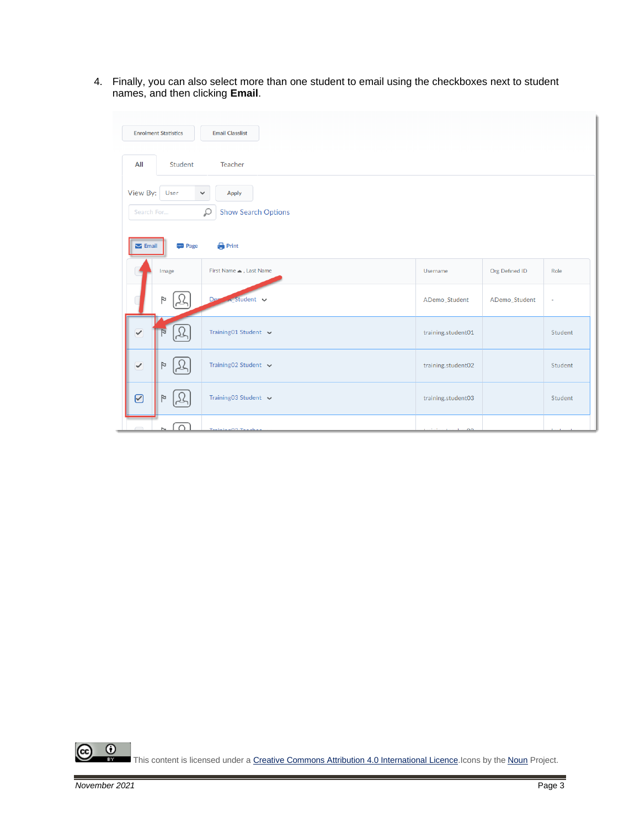4. Finally, you can also select more than one student to email using the checkboxes next to student names, and then clicking **Email**.

|                          | <b>Enrolment Statistics</b>                                                                                                                              | <b>Email Classlist</b>      |                    |                |         |  |  |  |
|--------------------------|----------------------------------------------------------------------------------------------------------------------------------------------------------|-----------------------------|--------------------|----------------|---------|--|--|--|
| All                      | Student                                                                                                                                                  | Teacher                     |                    |                |         |  |  |  |
|                          | View By:<br>User<br>Apply<br>$\checkmark$<br>Q<br><b>Show Search Options</b><br>Search For<br><b>Print</b><br>$\blacktriangleright$ Email<br><b>Page</b> |                             |                    |                |         |  |  |  |
|                          | Image                                                                                                                                                    | First Name . Last Name      | Username           | Org Defined ID | Role    |  |  |  |
|                          | Þ                                                                                                                                                        | $\sim$ Student $\sim$<br>De | ADemo_Student      | ADemo_Student  | ٠       |  |  |  |
| $\blacktriangledown$     | N                                                                                                                                                        | Training01 Student v        | training.student01 |                | Student |  |  |  |
| $\overline{\mathcal{C}}$ | Þ                                                                                                                                                        | Training02 Student v        | training.student02 |                | Student |  |  |  |
| $\odot$                  | P                                                                                                                                                        | Training03 Student v        | training.student03 |                | Student |  |  |  |
|                          | $\cap$                                                                                                                                                   | Testate and Teach           | $\alpha$           |                |         |  |  |  |

 $\overline{0}$ (cc This content is licensed under [a Creative Commons Attribution 4.0 International Licence.I](https://creativecommons.org/licenses/by/4.0/)cons by the [Noun](https://creativecommons.org/website-icons/) Project.